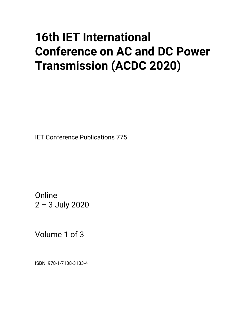# **16th IET International Conference on AC and DC Power Transmission (ACDC 2020)**

IET Conference Publications 775

**Online** 2 – 3 July 2020

Volume 1 of 3

ISBN: 978-1-7138-3133-4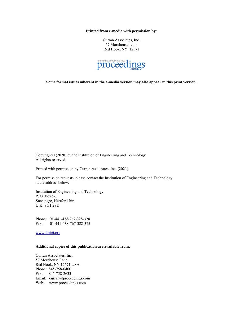**Printed from e-media with permission by:**

Curran Associates, Inc. 57 Morehouse Lane Red Hook, NY 12571



**Some format issues inherent in the e-media version may also appear in this print version.**

Copyright© (2020) by the Institution of Engineering and Technology All rights reserved.

Printed with permission by Curran Associates, Inc. (2021)

For permission requests, please contact the Institution of Engineering and Technology at the address below.

Institution of Engineering and Technology P. O. Box 96 Stevenage, Hertfordshire U.K. SG1 2SD

Phone: 01-441-438-767-328-328 Fax: 01-441-438-767-328-375

[www.theiet.org](http://www.theiet.org/)

#### **Additional copies of this publication are available from:**

Curran Associates, Inc. 57 Morehouse Lane Red Hook, NY 12571 USA Phone: 845-758-0400 Fax: 845-758-2633 Email: curran@proceedings.com Web: www.proceedings.com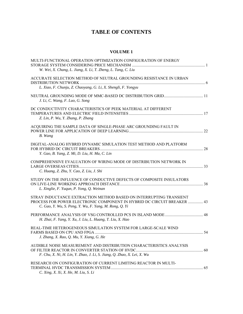## **TABLE OF CONTENTS**

#### **VOLUME 1**

| MULTI-FUNCTIONAL OPERATION OPTIMIZATION CONFIGURATION OF ENERGY<br>W. Wei, X. Chang, L. Jiang, X. Li, T. Zheng, L. Tang, C. Liu                                                                         |  |
|---------------------------------------------------------------------------------------------------------------------------------------------------------------------------------------------------------|--|
| ACCURATE SELECTION METHOD OF NEUTRAL GROUNDING RESISTANCE IN URBAN<br>L. Xiao, F. Chunju, Z. Chaoyang, G. Li, X. Shengli, F. Yongyu                                                                     |  |
| J. Li, C. Wang, F. Luo, G. Song                                                                                                                                                                         |  |
| DC CONDUCTIVITY CHARACTERISTICS OF PEEK MATERIAL AT DIFFERENT<br>Z. Lin, P. Wu, Y. Zhang, P. Zhang                                                                                                      |  |
| ACQUIRING THE SAMPLE DATA OF SINGLE-PHASE ARC GROUNDING FAULT IN<br>B. Wang                                                                                                                             |  |
| DIGITAL-ANALOG HYBRID DYNAMIC SIMULATION TEST METHOD AND PLATFORM<br>Y. Gao, B. Yang, Z. Mi, D. Liu, H. Ma, C. Lin                                                                                      |  |
| COMPREHENSIVE EVALUATION OF WIRING MODE OF DISTRIBUTION NETWORK IN<br>C. Huang, Z. Zhu, Y. Cao, Z. Liu, J. Shi                                                                                          |  |
| STUDY ON THE INFLUENCE OF CONDUCTIVE DEFECTS OF COMPOSITE INSULATORS<br>L. Xinglie, F. Yuqun, P. Yong, Q. Weinan                                                                                        |  |
| STRAY INDUCTANCE EXTRACTION METHOD BASED ON INTERRUPTING TRANSIENT<br>PROCESS FOR POWER ELECTRONIC COMPONENT IN HYBRID DC CIRCUIT BREAKER  43<br>C. Gao, Y. Wu, S. Peng, Y. Wu, F. Yang, M. Rong, Q. Yi |  |
| H. Zhai, F. Yang, Y. Xu, J. Liu, L. Huang, T. Liu, X. Hao                                                                                                                                               |  |
| REAL-TIME HETEROGENEOUS SIMULATION SYSTEM FOR LARGE-SCALE WIND<br>J. Zhang, X. Rao, Q. Mu, Y. Xiang, G. He                                                                                              |  |
| AUDIBLE NOISE MEASUREMENT AND DISTRIBUTION CHARACTERISTICS ANALYSIS<br>F. Chu, X. Ni, H. Lin, Y. Zhao, J. Li, S. Jiang, Q. Zhao, X. Lei, X. Wu                                                          |  |
| RESEARCH ON CONFIGURATION OF CURRENT LIMITING REACTOR IN MULTI-<br>C. Xing, X. Xi, X. He, M. Liu, S. Li                                                                                                 |  |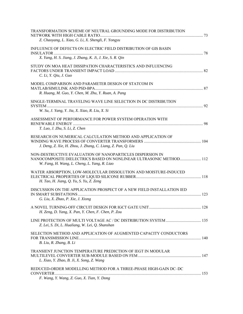| TRANSFORMATION SCHEME OF NEUTRAL GROUNDING MODE FOR DISTRIBUTION<br>Z. Chaoyang, L. Xiao, G. Li, X. Shengli, F. Yongyu                                                          |  |
|---------------------------------------------------------------------------------------------------------------------------------------------------------------------------------|--|
| INFLUENCE OF DEFECTS ON ELECTRIC FIELD DISTRIBUTION OF GIS BASIN<br>X. Yang, H. S. Jiang, J. Zhang, K. Ji, J. Xie, S. R. Qin                                                    |  |
| STUDY ON MOA HEAT DISSIPATION CHARACTERISTICS AND INFLUENCING<br>C. Li, Y. Qiu, J. Guo                                                                                          |  |
| MODEL COMPARISON AND PARAMETER DESIGN OF STATCOM IN<br>R. Huang, M. Guo, Y. Chen, M. Zhu, Y. Ruan, A. Pang                                                                      |  |
| SINGLE-TERMINAL TRAVELING WAVE LINE SELECTION IN DC DISTRIBUTION<br>W. Su, J. Yang, Y. Jia, X. Xiao, R. Liu, X. Si                                                              |  |
| ASSESSMENT OF PERFORMANCE FOR POWER SYSTEM OPERATION WITH<br>T. Luo, J. Zhu, S. Li, Z. Chen                                                                                     |  |
| RESEARCH ON NUMERICAL CALCULATION METHOD AND APPLICATION OF<br>J. Deng, Z. Xie, H. Zhou, J. Zhang, C. Liang, Z. Pan, Q. Liu                                                     |  |
| NON-DESTRUCTIVE EVALUATION OF NANOPARTICLES DISPERSION IN<br>NANOCOMPOSITE DIELECTRICS BASED ON NONLINEAR ULTRASONIC METHOD 112<br>W. Fang, H. Wang, L. Cheng, L. Yang, R. Liao |  |
| WATER ABSORPTION, LOW-MOLECULAR DISSOLUTION AND MOISTURE-INDUCED<br>H. Tao, H. Jiang, Q. Yu, S. Yu, Z. Zeng                                                                     |  |
| DISCUSSION ON THE APPLICATION PROSPECT OF A NEW FIELD INSTALLATION IED<br>G. Liu, X. Zhao, P. Xie, J. Xiong                                                                     |  |
| H. Zeng, D. Yang, X. Pan, Y. Chen, F. Chen, P. Zou                                                                                                                              |  |
| Z. Lei, S. Di, L. Hualiang, W. Lei, Q. Shanshan                                                                                                                                 |  |
| SELECTION METHOD AND APPLICATION OF AUGMENTED CAPACITY CONDUCTORS<br>B. Liu, R. Zhang, B. Li                                                                                    |  |
| TRANSIENT JUNCTION TEMPERATURE PREDICTION OF IEGT IN MODULAR<br>L. Xiao, Y. Zhao, B. Ji, X. Song, Z. Wang                                                                       |  |
| REDUCED-ORDER MODELLING METHOD FOR A THREE-PHASE HIGH-GAIN DC-DC<br>F. Wang, Y. Wang, Z. Guo, X. Tian, Y. Dong                                                                  |  |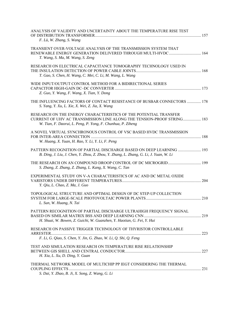| ANALYSIS OF VALIDITY AND UNCERTAINTY ABOUT THE TEMPERATURE RISE TEST<br>F. Lü, W. Zhang, S. Wang                                                                                                          |  |
|-----------------------------------------------------------------------------------------------------------------------------------------------------------------------------------------------------------|--|
| TRANSIENT OVER-VOLTAGE ANALYSIS OF THE TRANSMISSION SYSTEM THAT<br>T. Wang, S. Ma, M. Wang, S. Zeng                                                                                                       |  |
| RESEARCH ON ELECTRICAL CAPACITANCE TOMOGRAPHY TECHNOLOGY USED IN<br>T. Gao, S. Chen, H. Wang, C. Mei, C. Li, M. Wang, L. Wang                                                                             |  |
| WIDE INPUT/OUTPUT CONTROL METHOD FOR A BIDIRECTIONAL SERIES<br>Z. Guo, Y. Wang, F. Wang, X. Tian, Y. Dong                                                                                                 |  |
| THE INFLUENCING FACTORS OF CONTACT RESISTANCE OF BUSBAR CONNECTORS  178<br>S. Yang, Y. Xu, L. Xie, X. Wei, Z. Jia, X. Wang                                                                                |  |
| RESEARCH ON THE ENERGY CHARACTERISTICS OF THE POTENTIAL TRANSFER<br>CURRENT OF UHV AC TRANSMISSION LINE ALONG THE TENSION-PROOF STRING 183<br>W. Tian, F. Daorui, L. Peng, P. Yong, F. Chunhua, P. Ziheng |  |
| A NOVEL VIRTUAL SYNCHRONOUS CONTROL OF VSC BASED HVDC TRANSMISSION<br>W. Huang, X. Yuan, H. Rao, Y. Li, Y. Li, F. Peng                                                                                    |  |
| PATTERN RECOGNITION OF PARTIAL DISCHARGE BASED ON DEEP LEARNING  193<br>B. Ding, J. Liu, J. Chen, Y. Zhou, Z. Zhou, Y. Zhang, L. Zhang, G. Li, J. Yuan, W. Li                                             |  |
| S. Zhang, Z. Zhang, Z. Zhang, L. Kang, X. Wang, C. Tan                                                                                                                                                    |  |
| EXPERIMENTAL STUDY ON V-A CHARACTERISTICS OF AC AND DC METAL OXIDE<br>Y. Qiu, L. Chao, Z. Ma, J. Guo                                                                                                      |  |
| TOPOLOGICAL STRUCTURE AND OPTIMAL DESIGN OF DC STEP-UP COLLECTION<br>L. Sun, W. Huang, N. Tai                                                                                                             |  |
| PATTERN RECOGNITION OF PARTIAL DISCHARGE ULTRAHIGH FREQUENCY SIGNAL<br>H. Shuai, W. Bowen, Z. Guichi, W. Guanzhen, Y. Haotian, G. Fei, Y. Hui                                                             |  |
| RESEARCH ON PASSIVE TRIGGER TECHNOLOGY OF THYRISTOR CONTROLLABLE<br>F. Li, G. Qiao, S. Chen, Y. Jin, G. Zhao, W. Li, Q. Shi, Q. Feng                                                                      |  |
| TEST AND SIMULATION RESEARCH ON TEMPERATURE RISE RELATIONSHIP<br>H. Xia, L. Xu, D. Ding, Y. Guan                                                                                                          |  |
| THERMAL NETWORK MODEL OF MULTICHIP PP IEGT CONSIDERING THE THERMAL                                                                                                                                        |  |
| S. Dai, Y. Zhao, B. Ji, X. Song, Z. Wang, G. Li                                                                                                                                                           |  |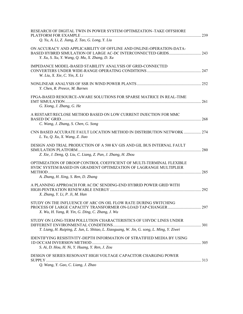| RESEARCH OF DIGITAL TWIN IN POWER SYSTEM OPTIMIZATION-TAKE OFFSHORE                                                                                                              |     |
|----------------------------------------------------------------------------------------------------------------------------------------------------------------------------------|-----|
| Q. Yu, A. Li, Z. Jiang, Z. Tao, G. Long, Y. Liu<br>ON ACCURACY AND APPLICABILITY OF OFFLINE AND ONLINE-OPERATION-DATA-<br>Y. Xu, S. Xu, Y. Wang, Q. Mu, X. Zhang, D. Xu          |     |
| IMPEDANCE MODEL-BASED STABILITY ANALYSIS OF GRID-CONNECTED<br>W. Liu, X. Xie, C. Yin, X. Li                                                                                      |     |
| Y. Chen, R. Preece, M. Barnes                                                                                                                                                    |     |
| FPGA-BASED RESOURCE-AWARE SOLUTIONS FOR SPARSE MATRICE IN REAL-TIME<br>G. Xiong, J. Zhang, G. He                                                                                 | 261 |
| A RESTART/RECLOSE METHOD BASED ON LOW CURRENT INJECTION FOR MMC<br>C. Wang, J. Zhang, S. Chen, G. Song                                                                           |     |
| CNN BASED ACCURATE FAULT LOCATION METHOD IN DISTRIBUTION NETWORK  274<br>L. Yu, Q. Xu, X. Wang, Z. Jiao                                                                          |     |
| DESIGN AND TRIAL PRODUCTION OF A 500 KV GIS AND GIL BUS INTERNAL FAULT<br>Z. Xie, J. Deng, Q. Liu, C. Liang, Z. Pan, J. Zhang, H. Zhou                                           |     |
| OPTIMIZATION OF DROOP CONTROL COEFFICIENT OF MULTI-TERMINAL FLEXIBLE<br>HVDC SYSTEM BASED ON GRADIENT OPTIMIZATION OF LAGRANGE MULTIPLIER<br>A. Zhang, H. Xing, S. Ren, D. Zhang |     |
| A PLANNING APPROACH FOR AC/DC SENDING-END HYBRID POWER GRID WITH<br>X. Zhang, Y. Li, P. Ji, M. Han                                                                               |     |
| STUDY ON THE INFLUENCE OF ARC ON OIL FLOW RATE DURING SWITCHING<br>X. Wu, H. Yang, R. Yin, G. Ding, C. Zhang, J. Wu                                                              |     |
| STUDY ON LONG-TERM POLLUTION CHARACTERISTICS OF UHVDC LINES UNDER<br>T. Liang, H. Ruiping, Z. Jun, L. Shitao, L. Xiaoguang, W. Jin, G. song, L. Ming, Y. Ziwei                   |     |
| IDENTIFYING RESISTIVITY-DEPTH INFORMATION OF STRATIFIED MEDIA BY USING<br>S. Ai, D. Hou, H. Ni, Y. Huang, Y. Ren, J. Zou                                                         |     |
| DESIGN OF SERIES RESONANT HIGH VOLTAGE CAPACITOR CHARGING POWER<br>Q. Wang, Y. Gao, C. Liang, J. Zhao                                                                            |     |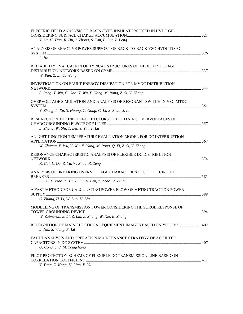| ELECTRIC FIELD ANALYSIS OF BASIN-TYPE INSULATORS USED IN HVDC GIL                                                           |       |
|-----------------------------------------------------------------------------------------------------------------------------|-------|
| Y. Lu, H. Tian, R. Hu, J. Zhong, S. Tan, P. Liu, Z. Peng                                                                    |       |
| ANALYSIS OF REACTIVE POWER SUPPORT OF BACK-TO-BACK VSC-HVDC TO AC                                                           |       |
| L. He                                                                                                                       |       |
| RELIABILITY EVALUATION OF TYPICAL STRUCTURES OF MEDIUM VOLTAGE<br>W. Pan, Z. Li, Q. Wang                                    |       |
| INVESTIGATION ON FAULT ENERGY DISSIPATION FOR MVDC DISTRIBUTION                                                             | . 344 |
| S. Peng, Y. Wu, C. Gao, Y. Wu, F. Yang, M. Rong, Z. Si, Y. Zhang                                                            |       |
| OVERVOLTAGE SIMULATION AND ANALYSIS OF RESONANT SWITCH IN VSC-MTDC                                                          |       |
| Y. Zheng, L. Xu, S. Huang, C. Gong, C. Li, X. Shao, J. Lin                                                                  |       |
| RESEARCH ON THE INFLUENCE FACTORS OF LIGHTNING OVERVOLTAGES OF<br>L. Zhang, W. Shi, T. Lei, Y. Yin, T. Lu                   |       |
| AN IGBT JUNCTION TEMPERATURE EVALUATION MODEL FOR DC INTERRUPTION                                                           |       |
| W. Zhuang, Y. Wu, Y. Wu, F. Yang, M. Rong, Q. Yi, Z. Si, Y. Zhang                                                           |       |
| RESONANCE CHARACTERISTIC ANALYSIS OF FLEXIBLE DC DISTRIBUTION                                                               |       |
| K. Cui, L. Qu, Z. Yu, W. Zhou, R. Zeng                                                                                      |       |
| ANALYSIS OF BREAKING OVERVOLTAGE CHARACTERISTICS OF DC CIRCUIT                                                              |       |
| L. Qu, X. Xiao, Z. Yu, J. Liu, K. Cui, Y. Zhao, R. Zeng                                                                     |       |
| A FAST METHOD FOR CALCULATING POWER FLOW OF METRO TRACTION POWER                                                            |       |
| C. Zhang, H. Li, W. Luo, H. Liu                                                                                             |       |
| MODELLING OF TRANSMISSION TOWER CONSIDERING THE SURGE RESPONSE OF<br>W. Zaimuran, Z. Li, Z. Liu, Z. Zhang, W. Xie, B. Zhang |       |
|                                                                                                                             |       |
| RECOGNITION OF MAIN ELECTRICAL EQUIPMENT IMAGES BASED ON YOLOV3  402<br>L. Niu, S. Wang, F. Lü                              |       |
| FAULT ANALYSIS AND OPERATION MAINTENANCE STRATEGY OF AC FILTER                                                              |       |
| O. Cong and M. Yongchang                                                                                                    |       |
| PILOT PROTECTION SCHEME OF FLEXIBLE DC TRANSMISSION LINE BASED ON<br>Y. Yuan, X. Kang, H. Liao, P. Yu                       |       |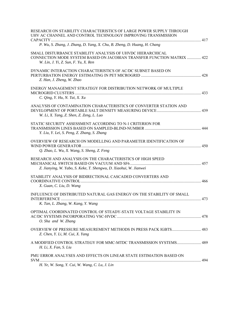| RESEARCH ON STABILITY CHARACTERISTICS OF LARGE POWER SUPPLY THROUGH<br>UHV AC CHANNEL AND CONTROL TECHNOLOGY IMPROVING TRANSMISSION                                          |     |
|------------------------------------------------------------------------------------------------------------------------------------------------------------------------------|-----|
| P. Wu, S. Zhang, J. Zhang, D. Yang, X. Chu, B. Zheng, D. Huang, H. Chang                                                                                                     |     |
| SMALL DISTURBANCE STABILITY ANALYSIS OF UHVDC HIERARCHICAL<br>CONNECTION MODE SYSTEM BASED ON JACOBIAN TRANSFER FUNCTION MATRIX  422<br>W. Lin, J. Yi, Z. Sun, F. Yu, X. Ren |     |
| DYNAMIC INTERACTION CHARACTERISTICS OF AC/DC SUBNET BASED ON<br>Z. Han, J. Zheng, W. Zhao                                                                                    |     |
| ENERGY MANAGEMENT STRATEGY FOR DISTRIBUTION NETWORK OF MULTIPLE<br>C. Qing, Y. Hu, N. Tai, X. Xu                                                                             | 433 |
| ANALYSIS OF CONTAMINATION CHARACTERISTICS OF CONVERTER STATION AND<br>W. Li, X. Tang, Z. Shen, Z. Zeng, L. Luo                                                               |     |
| STATIC SECURITY ASSESSMENT ACCORDING TO N-1 CRITERION FOR<br>Y. Liu, Y. Lei, S. Peng, Z. Zhang, S. Zhang                                                                     |     |
| OVERVIEW OF RESEARCH ON MODELLING AND PARAMETER IDENTIFICATION OF<br>Q. Zhao, L. Wu, X. Wang, S. Sheng, Z. Feng                                                              |     |
| RESEARCH AND ANALYSIS ON THE CHARACTERISTICS OF HIGH SPEED<br>Z. Jianying, W. Yabo, S. Keke, T. Shengwu, D. Xiaohui, W. Jianwei                                              |     |
| STABILITY ANALYSIS OF BIDIRECTIONAL CASCADED CONVERTERS AND<br>X. Guan, C. Liu, D. Wang                                                                                      |     |
| INFLUENCE OF DISTRIBUTED NATURAL GAS ENERGY ON THE STABILITY OF SMALL<br>K. Tan, L. Zhang, W. Kang, Y. Wang                                                                  |     |
| OPTIMAL COORDINATED CONTROL OF STEADY-STATE VOLTAGE STABILITY IN<br>O. Sha and W. Zhang                                                                                      |     |
| Z. Chen, Y. Li, M. Cui, X. Yang                                                                                                                                              |     |
| H. Li, X. Fan, S. Liu                                                                                                                                                        |     |
| PMU ERROR ANALYSES AND EFFECTS ON LINEAR STATE ESTIMATION BASED ON<br>H. Ye, W. Song, Y. Cui, W. Wang, C. Lu, J. Lin                                                         |     |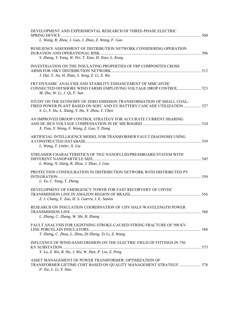| DEVELOPMENT AND EXPERIMENTAL RESEARCH OF THREE-PHASE ELECTRIC<br>L. Wang, R. Zhou, J. Gao, J. Zhao, Z. Wang, F. Guo                                                                               |  |
|---------------------------------------------------------------------------------------------------------------------------------------------------------------------------------------------------|--|
| RESILIENCE ASSESSMENT OF DISTRIBUTION NETWORK CONSIDERING OPERATION<br>S. Zhang, Y. Yang, W. Pei, T. Xiao, H. Xiao, L. Kong                                                                       |  |
| INVESTIGATION ON THE INSULATING PROPERTIES OF FRP COMPOSITES CROSS<br>J. Dai, Y. Jia, H. Zhao, S. Song, Z. Li, X. Wu                                                                              |  |
| FRT DYNAMIC ANALYSIS AND STABILITY ENHANCEMENT OF MMC-HVDC<br>M. Zhu, W. Li, J. Qi, F. Sun                                                                                                        |  |
| STUDY ON THE ECONOMY OF ZERO EMISSION TRANSFORMATION OF SMALL COAL-<br>FIRED POWER PLANT BASED ON SOFC AND EV BATTERY CASCADE UTILIZATION  527<br>S. Li, Y. Hu, L. Xiang, Y. Hu, Y. Zhou, Y. Chen |  |
| AN IMPROVED DROOP CONTROL STRATEGY FOR ACCURATE CURRENT SHARING<br>X. Tian, Y. Wang, F. Wang, Z. Guo, Y. Dong                                                                                     |  |
| ARTIFICIAL INTELLIGENCE MODEL FOR TRANSFORMER FAULT DIAGNOSIS USING<br>L. Wang, T. Littler, X. Liu                                                                                                |  |
| STREAMER CHARACTERISTICS OF TIO2 NANOFLUID/PRESSBOARD SYSTEM WITH<br>L. Wang, N. Dang, R. Zhou, J. Zhao, J. Gao                                                                                   |  |
| PROTECTION CONFIGURATION IN DISTRIBUTION NETWORK WITH DISTRIBUTED PV<br>. 550<br>L. Yu, C. Yang, T. Zheng                                                                                         |  |
| DEVELOPMENT OF EMERGENCY TOWER FOR FAST RECORVERY OF UHVDC<br>Z. J. Chang, F. Zuo, H. S. Guerra, I. E. Santos                                                                                     |  |
| RESEARCH ON INSULATION COORDINATION OF UHV HALF-WAVELENGTH POWER<br>L. Zhang, C. Zhang, W. Shi, B. Zhang                                                                                          |  |
| FAULT ANALYSIS FOR LIGHTNING STROKE-CAUSED STRING FRACTURE OF 500 KV<br>T. Zheng, C. Zhou, L. Zhou, Di Zheng, Te Li, Z. Wang                                                                      |  |
| INFLUENCE OF WIND-SAND EROSION ON THE ELECTRIC FIELD OF FITTINGS IN 750<br>Y. Lu, Z. Wu, R. Hu, J. Wu, W. Han, P. Liu, Z. Peng                                                                    |  |
| ASSET MANAGEMENT OF POWER TRANSFORMER: OPTIMIZATION OF<br>TRANSFORMER LIFTIME COST BASED ON QUALITY MANAGEMENT STRATEGY  578<br>P. Xie, L. Li, Y. Hao                                             |  |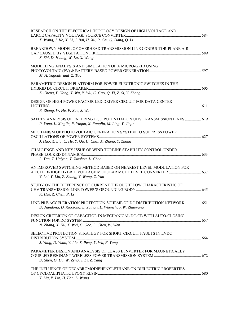| RESEARCH ON THE ELECTRICAL TOPOLOGY DESIGN OF HIGH VOLTAGE AND<br>X. Wang, J. Ke, X. Li, J. Bai, H. Xu, P. Chi, Q. Dang, Q. Li            |  |
|-------------------------------------------------------------------------------------------------------------------------------------------|--|
| BREAKDOWN MODEL OF OVERHEAD TRANSMISSION LINE CONDUCTOR-PLANE AIR<br>X. Shi, D. Huang, W. Lu, X. Wang                                     |  |
| MODELLING ANALYSIS AND SIMULATION OF A MICRO-GRID USING<br>M. A. Yagoub and Z. Tao                                                        |  |
| PARAMETRIC DESIGN PLATFORM FOR POWER ELECTRONIC SWITCHES IN THE<br>Z. Cheng, F. Yang, Y. Wu, Y. Wu, C. Gao, Q. Yi, Z. Si, Y. Zhang        |  |
| DESIGN OF HIGH POWER FACTOR LED DRIVER CIRCUIT FOR DATA CENTER<br>R. Zhong, W. He, F. Xue, S. Wan                                         |  |
| SAFETY ANALYSIS OF ENTERING EQUIPOTENTIAL ON UHV TRANSMISSION LINES  619<br>P. Yong, L. Xinglie, F. Yuqun, X. Fanglin, M. Ling, Y. Jiejin |  |
| MECHANISM OF PHOTOVOLTAIC GENERATION SYSTEM TO SUPPRESS POWER<br>J. Hao, X. Liu, C. He, Y. Qu, H. Chai, X. Zhang, Y. Zhang                |  |
| CHALLENGE AND KEY ISSUE OF WIND TURBINE STABILITY CONTROL UNDER<br>L. Yan, T. Haiyan, T. Xinshou, L. Chao                                 |  |
| AN IMPROVED SWITCHING METHOD BASED ON NEAREST LEVEL MODULATION FOR<br>Y. Lei, Y. Liu, Z. Zhang, Y. Wang, Z. Yan                           |  |
| STUDY ON THE DIFFERENCE OF CURRENT THROUGHFLOW CHARACTERISTIC OF<br>K. Hui, Z. Chen, P. Li                                                |  |
| LINE PRE-ACCELERATION PROTECTION SCHEME OF DC DISTRIBUTION NETWORK 651<br>D. Jiandong, D. Xiaotong, L. Zainan, L. Whenchao, W. Zhaoyang   |  |
| DESIGN CRITERION OF CAPACITOR IN MECHANICAL DC-CB WITH AUTO-CLOSING<br>N. Zhang, X. Hu, X. Wei, C. Gao, L. Chen, W. Wen                   |  |
| SELECTIVE PROTECTION STRATEGY FOR SHORT-CIRCUIT FAULTS IN LVDC<br>J. Yang, D. Yuan, Y. Liu, S. Peng, Y. Wu, F. Yang                       |  |
| PARAMETER DESIGN AND ANALYSIS OF CLASS E INVERTER FOR MAGNETICALLY<br>D. Shen, G. Du, W. Zeng, J. Li, Z. Yang                             |  |
| THE INFLUENCE OF DECABROMODIPHENYLETHANE ON DIELECTRIC PROPERTIES<br>Y. Liu, Y. Lin, H. Fan, L. Wang                                      |  |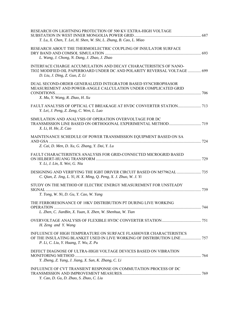| RESEARCH ON LIGHTNING PROTECTION OF 500 KV EXTRA-HIGH VOLTAGE<br>T. Lu, X. Chen, T. Lei, H. Shen, W. Shi, L. Zhang, B. Cao, L. Miao                                                    |  |
|----------------------------------------------------------------------------------------------------------------------------------------------------------------------------------------|--|
| RESEARCH ABOUT THE THERMOELECTRIC COUPLING OF INSULATOR SURFACE<br>L. Wang, J. Chong, N. Dang, J. Zhao, J. Zhao                                                                        |  |
| INTERFACE CHARGE ACCUMULATION AND DECAY CHARACTERISTICS OF NANO-<br>TIO2 MODIFIED OIL PAPERBOARD UNDER DC AND POLARITY REVERSAL VOLTAGE  699<br>D. Liu, J. Ding, Z. Guo, Z. Li         |  |
| DUAL SECOND-ORDER GENERALIZED INTEGRATOR BASED SYNCHROPHASOR<br>MEASUREMENT AND POWER-ANGLE CALCULATION UNDER COMPLICATED GRID<br>X. Mu, Y. Wang, R. Zhao, H. Xu                       |  |
| Y. Lei, J. Peng, Z. Zeng, C. Wen, L. Luo                                                                                                                                               |  |
| SIMULATION AND ANALYSIS OF OPERATION OVERVOLTAGE FOR DC<br>X. Li, H. He, Z. Cao                                                                                                        |  |
| MAINTENANCE SCHEDULE OF POWER TRANSMISSION EQUIPMENT BASED ON SA<br>Z. Cai, D. Men, D. Xu, G. Zhang, Y. Dai, Y. Lu                                                                     |  |
| FAULT CHARACTERISTICS ANALYSIS FOR GRID-CONNECTED MICROGRID BASED<br>Y. Li, J. Lin, X. Wei, G. Niu                                                                                     |  |
| C. Qian, Z. Jing, L. Yi, H. X. Ming, Q. Peng, X. J. Zhuo, W. J. Yi                                                                                                                     |  |
| STUDY ON THE METHOD OF ELECTRIC ENERGY MEASUREMENT FOR UNSTEADY<br>T. Tong, W. Ni, D. Gu, Y. Cao, W. Yang                                                                              |  |
| THE FERRORESONANCE OF 10KV DISTRIBUTION PT DURING LIVE WORKING                                                                                                                         |  |
| L. Zhen, C. JianBin, X. Yuan, X. Zhen, W. Shenhua, W. Tian<br>H. Zeng and Y. Wang                                                                                                      |  |
| INFLUENCE OF HIGH TEMPERATURE ON SURFACE FLASHOVER CHARACTERISTICS<br>OF THE INSULATING BLANKET USED IN LIVE WORKING OF DISTRIBUTION LINE 757<br>P. Li, C. Liu, Y. Huang, T. Wu, Z. Pu |  |
| DEFECT DIAGNOSE OF ULTRA-HIGH VOLTAGE DEVICES BASED ON VIBRATION<br>Y. Zheng, Z. Yang, J. Jiang, X. Sun, K. Zhang, C. Li                                                               |  |
| INFLUENCE OF CVT TRANSIENT RESPONSE ON COMMUTATION PROCESS OF DC<br>Y. Cao, D. Gu, D. Zhao, S. Zhao, C. Liu                                                                            |  |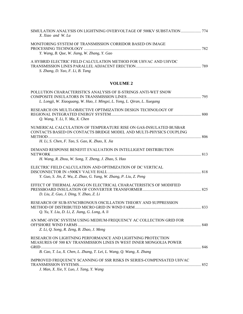| SIMULATION ANALYSIS ON LIGHTNING OVERVOLTAGE OF 500KV SUBSTATION  774<br>X. Xiao and W. Lu                                                                                                 |  |
|--------------------------------------------------------------------------------------------------------------------------------------------------------------------------------------------|--|
| MONITORING SYSTEM OF TRANSMISSION CORRIDOR BASED ON IMAGE<br>Y. Wang, B. Que, W. Jiang, W. Zhang, Y. Gao                                                                                   |  |
| A HYBRID ELECTRIC FIELD CALCULATION METHOD FOR UHVAC AND UHVDC<br>S. Zhang, D. Yao, F. Li, B. Tang                                                                                         |  |
| <b>VOLUME 2</b>                                                                                                                                                                            |  |
| POLLUTION CHARACTERISTICS ANALYSIS OF II-STRINGS ANTI-WET SNOW<br>L. Longji, W. Xiaoguang, W. Hao, J. Mingxi, L. Yong, L. Qiran, L. Xuegang                                                |  |
| RESEARCH ON MULTI-OBJECTIVE OPTIMIZATION DESIGN TECHNOLOGY OF<br>Q. Wang, Y. Li, Y. Ma, X. Chen                                                                                            |  |
| NUMERICAL CALCULATION OF TEMPERATURE RISE ON GAS-INSULATED BUSBAR<br>CONTACTS BASED ON CONTACTS BRIDGE MODEL AND MULTI-PHYSICS COUPLING<br>H. Li, S. Chen, F. Tao, S. Gao, K. Zhao, X. Jia |  |
| DEMAND RESPONSE BENEFIT EVALUATION IN INTELLIGENT DISTRIBUTION<br>H. Wang, R. Zhou, W. Song, T. Zheng, J. Zhao, S. Hao                                                                     |  |
| ELECTRIC FIELD CALCULATION AND OPTIMIZATION OF DC VERTICAL<br>Y. Guo, S. Jin, Z. Wu, Z. Zhao, G. Yang, W. Zhang, P. Liu, Z. Peng                                                           |  |
| EFFECT OF THERMAL AGING ON ELECTRICAL CHARACTERISTICS OF MODIFIED<br>D. Liu, Z. Guo, J. Ding, Y. Zhao, Z. Li                                                                               |  |
| RESEARCH OF SUB-SYNCHRONOUS OSCILLATION THEORY AND SUPPRESSION<br>Q. Yu, Y. Liu, D. Li, Z. Jiang, G. Long, A. li                                                                           |  |
| AN MMC-HVDC SYSTEM USING MEDIUM-FREQUENCY AC COLLECTION GRID FOR                                                                                                                           |  |

RESEARCH ON LIGHTNING PERFORMANCE AND LIGHTNING PROTECTION MEASURES OF 500 KV TRANSMISSION LINES IN WEST INNER MONGOLIA POWER GRID ................................................................................................................................................................ 846 *B. Cao, T. Lu, X. Chen, L. Zhang, T. Lei, L. Wang, Q. Wang, X. Zhang* 

OFFSHORE WIND FARMS ........................................................................................................................... 840

*Z. Li, Q. Song, R. Zeng, B. Zhao, J. Meng* 

| IMPROVED FREQUENCY SCANNING OF SSR RISKS IN SERIES-COMPENSATED UHVAC |  |
|----------------------------------------------------------------------|--|
|                                                                      |  |
| J. Man, X. Xie, Y. Luo, J. Tang, Y. Wang                             |  |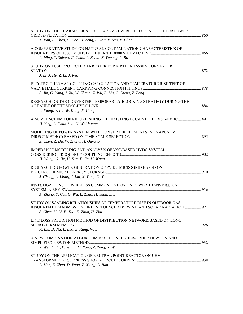| STUDY ON THE CHARACTERISTICS OF 4.5KV REVERSE BLOCKING IGCT FOR POWER                                                                                                                    |  |
|------------------------------------------------------------------------------------------------------------------------------------------------------------------------------------------|--|
| X. Pan, F. Chen, G. Cao, H. Zeng, P. Zou, Y. Sun, Y. Chen                                                                                                                                |  |
| A COMPARATIVE STUDY ON NATURAL CONTAMINATION CHARACTERISTICS OF<br>L. Ming, Z. Shiyao, G. Chao, L. Zehui, Z. Yupeng, L. Bo                                                               |  |
| STUDY ON FUSE PROTECTED ARRESTER FOR MRTB IN ±660KV CONVERTER<br>J. Li, J. He, Z. Li, J. Ren                                                                                             |  |
| ELECTRO-THERMAL COUPLING CALCULATION AND TEMPERATURE RISE TEST OF<br>S. Jin, G. Yang, J. Xu, W. Zhang, Z. Wu, P. Liu, J. Cheng, Z. Peng                                                  |  |
| RESEARCH ON THE CONVERTER TEMPORARILY BLOCKING STRATEGY DURING THE<br>L. Xiong, Y. Pu, W. Kong, X. Gong                                                                                  |  |
| H. Ying, L. Chun-hua, H. Wei-huang                                                                                                                                                       |  |
| MODELING OF POWER SYSTEM WITH CONVERTER ELEMENTS IN LYAPUNOV<br>Z. Chen, Z. Du, W. Zhang, H. Ouyang                                                                                      |  |
| IMPEDANCE MODELING AND ANALYSIS OF VSC-BASED HVDC SYSTEM<br>H. Wang, G. He, H. Sun, Y. Jin, H. Wang                                                                                      |  |
| RESEARCH ON POWER GENERATION OF PV DC MICROGRID BASED ON<br>J. Cheng, A. Liang, J. Liu, X. Tang, G. Yu                                                                                   |  |
| INVESTIGATIONS OF WIRELESS COMMUNICATION ON POWER TRANSMISSION<br>X. Zhang, Y. Cui, G. Wu, L. Zhao, H. Yuan, L. Li                                                                       |  |
| STUDY ON SCALING RELATIONSHIPS OF TEMPERATURE RISE IN OUTDOOR GAS-<br>INSULATED TRANSMISSION LINE INFLUENCED BY WIND AND SOLAR RADIATION  921<br>S. Chen, H. Li, F. Tao, K. Zhao, H. Zhu |  |
| LINE LOSS PREDICTION METHOD OF DISTRIBUTION NETWORK BASED ON LONG<br>K. Liu, D. Jia, L. Luo, Z. Kang, W. Li                                                                              |  |
| A NEW COMBINATION ALGORITHM BASED ON HIGHER-ORDER NEWTON AND<br>Y. Wei, Q. Li, P. Wang, M. Yang, Z. Zeng, X. Wang                                                                        |  |
| STUDY ON THE APPLICATION OF NEUTRAL POINT REACTOR ON UHV<br>B. Han, Z. Zhao, D. Yang, Z. Xiang, L. Ban                                                                                   |  |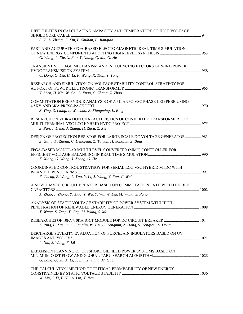| DIFFICULTIES IN CALCULATING AMPACITY AND TEMPERATURE OF HIGH VOLTAGE<br>S. Yi, L. Zheng, G. Xin, L. Shuhan, L. Jiangtao                   | 944 |
|-------------------------------------------------------------------------------------------------------------------------------------------|-----|
| FAST AND ACCURATE FPGA-BASED ELECTROMAGNETIC REAL-TIME SIMULATION<br>G. Wang, L. Xie, X. Rao, Y. Xiang, Q. Mu, G. He                      | 953 |
| TRANSIENT VOLTAGE MECHANISM AND INFLUENCING FACTORS OF WIND POWER<br>C. Dong, Q. Liu, H. Li, F. Wang, X. Tian, Y. Tong                    | 958 |
| RESEARCH AND SIMULATION ON VOLTAGE STABILITY CONTROL STRATEGY FOR<br>Y. Shen, H. Nie, W. Cai, L. Yuan, C. Zhang, Z. Zhao                  |     |
| COMMUTATION BEHAVIOUR ANALYSIS OF A 3L-ANPC-VSC PHASE-LEG PEBB USING<br>Z. Ying, Z. Liang, L. Weichao, Z. Xiangming, L. Bing              | 970 |
| RESEARCH ON VIBRATION CHARACTERISTICS OF CONVERTER TRANSFORMER FOR<br>Z. Pan, J. Deng, J. Zhang, H. Zhou, Z. Xie                          |     |
| DESIGN OF PROTECTION RESISTOR FOR LARGE-SCALE DC VOLTAGE GENERATOR 983<br>Z. Guifu, F. Zhong, C. Dengfeng, Z. Taiyun, H. Yongjun, Z. Bing |     |
| FPGA-BASED MODULAR MULTILEVEL CONVERTER (MMC) CONTROLLER FOR<br>K. Xiong, G. Wang, J. Zhang, G. He                                        | 990 |
| COORDINATED CONTROL STRATEGY FOR SERIAL LCC-VSC HYBRID MTDC WITH<br>F. Cheng, Z. Wang, L. Yao, Y. Li, J. Wang, Y. Fan, C. Wei             | 997 |
| A NOVEL MVDC CIRCUIT BREAKER BASED ON COMMUTATION PATH WITH DOUBLE<br>X. Zhao, J. Zhong, Y. Xiao, Y. Wu, Y. Wu, W. Liu, M. Wang, S. Pang  |     |
| ANALYSIS OF STATIC VOLTAGE STABILITY OF POWER SYSTEM WITH HIGH<br>T. Wang, S. Zeng, Y. Jing, M. Wang, S. Ma                               |     |
| Z. Ping, P. Xuejun, C. Fanglin, W. Fei, C. Yongmin, Z. Hong, S. Yongwei, L. Dong                                                          |     |
| DISCHARGE SEVERITY EVALUATION OF PORCELAIN INSULATORS BASED ON UV<br>L. Niu, S. Wang, F. Lü                                               |     |
| EXPANSION PLANNING OF OFFSHORE OILFIELD POWER SYSTEMS BASED ON<br>G. Long, Q. Yu, X. Li, Y. Liu, Z. Jiang, M. Guo                         |     |
| THE CALCULATION METHOD OF CRITICAL PERMEABILITY OF NEW ENERGY<br>W. Lin, J. Yi, F. Yu, A. Lin, X. Ren                                     |     |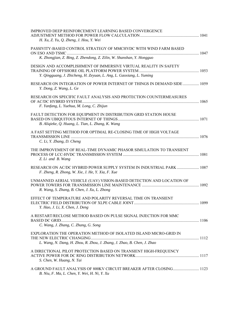| <b>IMPROVED DEEP REINFORCEMENT LEARNING BASED CONVERGENCE</b><br>H. Xu, Z. Yu, Q. Zheng, J. Hou, Y. Wei                                      |  |
|----------------------------------------------------------------------------------------------------------------------------------------------|--|
| PASSIVITY-BASED CONTROL STRATEGY OF MMCHVDC WITH WIND FARM BASED<br>K. Zhongjian, Z. Bing, Z. Zhendong, Z. Zilin, W. Shanshan, Y. Hongguo    |  |
| DESIGN AND ACCOMPLISHMENT OF IMMERSIVE VIRTUAL REALITY IN SAFETY<br>Y. Qingguang, J. Zhicheng, H. Zeyuan, L. Ang, L. Gaoxiang, L. Yuming     |  |
| RESEARCH ON INTEGRATION OF POWER INTERNET OF THINGS IN DEMAND SIDE  1059<br>Y. Dong, Z. Wang, L. Ge                                          |  |
| RESEARCH ON SPECIFIC FAULT ANALYSIS AND PROTECTION COUNTERMEASURES<br>F. Yanfang, L. Yuehua, M. Long, C. Zhijun                              |  |
| FAULT DETECTION FOR EQUIPMENT IN DISTRIBUTION GRID STATION HOUSE<br>B. Aliqieke, Q. Huang, L. Tian, L. Zhang, K. Wang                        |  |
| A FAST SETTING METHOD FOR OPTIMAL RE-CLOSING TIME OF HIGH VOLTAGE<br>C. Li, Y. Zhang, D. Cheng                                               |  |
| THE IMPROVEMENT OF REAL-TIME DYNAMIC PHASOR SIMULATION TO TRANSIENT<br>Z. Li and B. Wang                                                     |  |
| RESEARCH ON AC/DC HYBRID POWER SUPPLY SYSTEM IN INDUSTRIAL PARK  1087<br>F. Zheng, R. Zhong, W. Xie, J. He, Y. Xia, F. Xue                   |  |
| UNMANNED AERIAL VEHICLE (UAV) VISION-BASED DETECTION AND LOCATION OF<br>R. Wang, S. Zhang, B. Chen, J. Xu, L. Zhong                          |  |
| EFFECT OF TEMPERATURE AND POLARITY REVERSAL TIME ON TRANSIENT<br>Y. Hao, J. Li, X. Chen, J. Deng                                             |  |
| A RESTART/RECLOSE METHOD BASED ON PULSE SIGNAL INJECTION FOR MMC<br>C. Wang, J. Zhang, C. Zhang, G. Song                                     |  |
| EXPLORATION THE OPERATION METHOD OF ISOLATED ISLAND MICRO-GRID IN<br>L. Wang, N. Dang, H. Zhou, R. Zhou, J. Zhang, J. Zhao, B. Chen, J. Zhao |  |
| A DIRECTIONAL PILOT PROTECTION BASED ON TRANSIENT HIGH-FREQUENCY<br>S. Chen, W. Huang, N. Tai                                                |  |
| A GROUND FAULT ANALYSIS OF 800KV CIRCUIT BREAKER AFTER CLOSING 1123<br>B. Niu, F. Ma, L. Chen, Y. Wei, H. Ni, Y. Xu                          |  |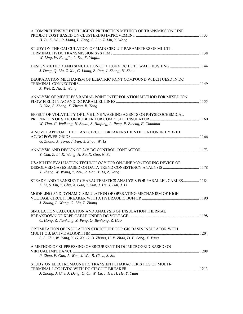| A COMPREHENSIVE INTELLIGENT PREDICTION METHOD OF TRANSMISSION LINE<br>H. Li, K. Wu, R. Liang, L. Feng, S. Liu, Z. Liu, Y. Wang                   |  |
|--------------------------------------------------------------------------------------------------------------------------------------------------|--|
| STUDY ON THE CALCULATION OF MAIN CIRCUIT PARAMETERS OF MULTI-<br>W. Ling, W. Fangjie, L. Da, X. Yinglin                                          |  |
| J. Deng, Q. Liu, Z. Xie, C. Liang, Z. Pan, J. Zhang, H. Zhou                                                                                     |  |
| DEGRADATION MECHANISM OF ELECTRIC JOINT COMPOUND WHICH UESD IN DC<br>X. Wei, Z. Jia, X. Wang                                                     |  |
| ANALYSIS OF MESHLESS RADIAL POINT INTERPOLATION METHOD FOR MIXED ION<br>D. Yao, S. Zhang, X. Zheng, B. Tang                                      |  |
| EFFECT OF VOLATILITY OF LIVE LINE WASHING AGENTS ON PHYSICOCHEMICAL<br>W. Tian, G. Weikang, H. Shuai, S. Haiping, L. Peng, P. Ziheng, F. Chunhua |  |
| A NOVEL APPROACH TO LAST CIRCUIT BREAKERS IDENTIFICATION IN HYBRID<br>G. Zhang, X. Tong, J. Fan, X. Zhou, W. Li                                  |  |
| Y. Chu, Z. Li, K. Wang, H. Xu, X. Guo, N. Su                                                                                                     |  |
| USABILITY EVALUATION TECHNOLOGY FOR ON-LINE MONITORING DEVICE OF<br>Y. Zheng, W. Wang, Y. Zhu, R. Han, Y. Li, Z. Yang                            |  |
| STEADY AND TRANSIENT CHARACTERISTICS ANALYSIS FOR PARALLEL CABLES 1184<br>Z. Li, S. Liu, Y. Chu, X. Gao, Y. Sun, J. He, J. Dai, J. Li            |  |
| MODELING AND DYNAMIC SIMULATION OF OPERATING MECHANISM OF HIGH<br>J. Zhang, L. Wang, G. Liu, T. Zhang                                            |  |
| SIMULATION CALCULATION AND ANALYSIS OF INSULATION THERMAL<br>C. Hong, Z. Jiankang, Z. Peng, O. Benhong, Z. Hao                                   |  |
| OPTIMIZATION OF INSULATION STRUCTURE FOR GIS BASIN INSULATOR WITH<br>S. L. Zhu, W. Yang, Y. G. Ke, G. B. Zhang, H. Y. Zhao, D. B. Song, X. Yang  |  |
| A METHOD OF SUPPRESSING OVERCURRENT IN DC MICROGRID BASED ON<br>P. Zhao, F. Guo, A. Wen, J. Wu, B. Chen, S. Shi                                  |  |
| STUDY ON ELECTROMAGNETIC TRANSIENT CHARACTERISTICS OF MULTI-<br>J. Zhong, J. Che, J. Deng, Q. Qi, W. Lu, J. He, H. He, Y. Yuan                   |  |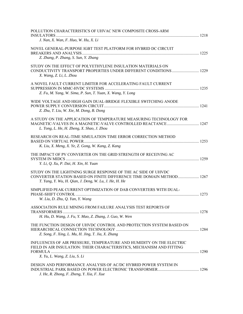| POLLUTION CHARACTERISTICS OF UHVAC NEW COMPOSITE CROSS-ARM<br>INSULATORS<br>J. Nan, X. Wan, F. Huo, W. Hu, X. Li                                                                               |  |
|------------------------------------------------------------------------------------------------------------------------------------------------------------------------------------------------|--|
| NOVEL GENERAL-PURPOSE IGBT TEST PLATFORM FOR HYBRID DC CIRCUIT<br>Z. Zhang, P. Zhang, S. Sun, Y. Zhang                                                                                         |  |
| STUDY ON THE EFFECT OF POLYETHYLENE INSULATION MATERIALS ON<br>X. Wang, Z. Li, L. Zhou                                                                                                         |  |
| A NOVEL FAULT CURRENT LIMITER FOR ACCELERATING FAULT CURRENT<br>Z. Fu, M. Yang, W. Sima, P. Sun, T. Yuan, X. Wang, Y. Long                                                                     |  |
| WIDE VOLTAGE AND HIGH GAIN DUAL-BRIDGE FLEXIBLE SWITCHING ANODE<br>Z. Zhu, T. Liu, W. Xie, M. Dong, B. Dong                                                                                    |  |
| A STUDY ON THE APPLICATION OF TEMPERATURE MEASURING TECHNOLOGY FOR<br>L. Tong, L. He, H. Zheng, X. Shao, J. Zhou                                                                               |  |
| RESEARCH ON REAL-TIME SIMULATION TIME ERROR CORRECTION METHOD<br>K. Liu, X. Meng, X. Ye, Z. Gong, W. Kang, Z. Kang                                                                             |  |
| THE IMPACT OF PV CONVERTER ON THE GRID STRENGTH OF RECEIVING AC<br>Y. Li, Q. Xu, P. Dai, H. Xin, H. Yuan                                                                                       |  |
| STUDY ON THE LIGHTNING SURGE RESPONSE OF THE AC SIDE OF UHVDC<br>CONVERTER STATION BASED ON FINITE DIFFERENCE TIME DOMAIN METHOD 1267<br>T. Yang, Y. Wu, H. Qian, J. Deng, W. Lu, J. He, H. He |  |
| SIMPLIFIED PEAK CURRENT OPTIMIZATION OF DAB CONVERTERS WITH DUAL-<br>W. Liu, D. Zhu, Q. Yan, Y. Wang                                                                                           |  |
| ASSOCIATION RULE MINING FROM FAILURE ANALYSIS TEST REPORTS OF<br>H. Hu, D. Wang, J. Fu, Y. Mao, Z. Zhang, J. Guo, W. Wen                                                                       |  |
| THE FUNCTION DESIGN OF UHVDC CONTROL AND PROTECTION SYSTEM BASED ON<br>Z. Song, F. Xing, L. Mu, H. Jing, T. Jia, X. Zhang                                                                      |  |
| INFLUENCES OF AIR PRESSURE, TEMPERATURE AND HUMIDITY ON THE ELECTRIC<br>FIELD IN AIR INSULATION: THEIR CHARACTERISTICS, MECHANISM AND FITTING                                                  |  |
| X. Yu, L. Wang, Z. Liu, S. Li                                                                                                                                                                  |  |
| DESIGN AND PERFORMANCE ANALYSIS OF AC/DC HYBRID POWER SYSTEM IN<br>J. He, R. Zhong, F. Zheng, Y. Xia, F. Xue                                                                                   |  |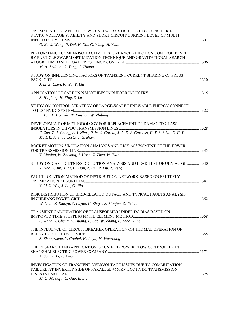| OPTIMAL ADJUSTMENT OF POWER NETWORK STRUCTURE BY CONSIDERING<br>STATIC VOLTAGE STABILITY AND SHORT-CIRCUIT CURRENT LEVEL OF MULTI-                                         |  |
|----------------------------------------------------------------------------------------------------------------------------------------------------------------------------|--|
| Q. Xu, J. Wang, P. Dai, H. Xin, G. Wang, H. Yuan                                                                                                                           |  |
| PERFORMANCE COMPARISON ACTIVE DISTURBANCE REJECTION CONTROL TUNED<br>BY PARTICLE SWARM OPTIMIZATION TECHNIQUE AND GRAVITATIONAL SEARCH<br>M. A. Abdalla, G. Yang, C. Huang |  |
| STUDY ON INFLUENCING FACTORS OF TRANSIENT CURRENT SHARING OF PRESS                                                                                                         |  |
| J. Li, Z. Chen, P. Wu, Y. Liu                                                                                                                                              |  |
| Z. Huijiang, H. Xing, S. Lu                                                                                                                                                |  |
| STUDY ON CONTROL STRATEGY OF LARGE-SCALE RENEWABLE ENERGY CONNECT<br>L. Yan, L. Hongzhi, T. Xinshou, W. Zhibing                                                            |  |
|                                                                                                                                                                            |  |
| DEVELOPMENT OF METHODOLOGY FOR REPLACEMENT OF DAMAGED GLASS<br>F. Zuo, Z. J. Chang, A. I. Nigri, R. W. S. Garcia, J. A. D. S. Cardoso, F. T. S. Silva, C. F. T.            |  |
| Matt, R. A. S. da Costa, J. Graham                                                                                                                                         |  |
| ROCKET MOTION SIMULATION ANALYSIS AND RISK ASSESSMENT OF THE TOWER<br>Y. Linping, W. Zhiyong, J. Hong, Z. Zhen, W. Tian                                                    |  |
| STUDY ON GAS-TIGHTNESS DETECTION ANALYSIS AND LEAK TEST OF UHV AC GIL 1340<br>Y. Hao, S. Jin, X. Li, H. Tian, Z. Liu, P. Liu, Z. Peng                                      |  |
| FAULT LOCATION METHOD OF DISTRIBUTION NETWORK BASED ON FRUIT FLY<br>Y. Li, X. Wei, J. Lin, G. Niu                                                                          |  |
| RISK DISTRIBUTION OF BIRD-RELATED OUTAGE AND TYPICAL FAULTS ANALYSIS<br>W. Dian, Z. Xiaoyu, Z. Luyao, C. Zhuye, S. Xianjun, Z. Jichuan                                     |  |
| TRANSIENT CALCULATION OF TRANSFORMER UNDER DC BIAS BASED ON<br>S. Wang, J. Cheng, K. Huang, L. Bao, W. Zhang, L. Zhao, Y. Lei                                              |  |
| THE INFLUENCE OF CIRCUIT BREAKER OPERATION ON THE MAL OPERATION OF<br>Z. Zhongzheng, Y. Guohui, H. Jiayu, M. Wenzhong                                                      |  |
| THE RESEARCH AND APPLICATION OF UNIFIED POWER FLOW CONTROLLER IN<br>X. Sun, T. Li, L. Xing                                                                                 |  |
| INVESTIGATION OF TRANSIENT OVERVOLTAGE ISSUES DUE TO COMMUTATION<br>FAILURE AT INVERTER SIDE OF PARALLEL ±660KV LCC HVDC TRANSMISSION                                      |  |
| M. U. Mustafa, C. Guo, B. Liu                                                                                                                                              |  |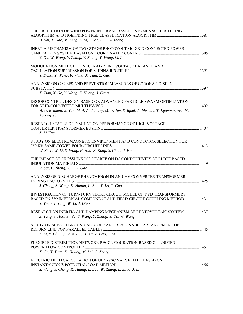| THE PREDICTION OF WIND POWER INTERVAL BASED ON K-MEANS CLUSTERING<br>H. Shi, T. Gao, M. Ding, Z. Li, J. yan, S. Li, Z. zhang                                                     |  |
|----------------------------------------------------------------------------------------------------------------------------------------------------------------------------------|--|
| <b>INERTIA MECHANISM OF TWO-STAGE PHOTOVOLTAIC GRID CONNECTED POWER</b><br>Y. Qu, W. Wang, Y. Zhang, Y. Zhang, Y. Wang, M. Li                                                    |  |
| MODULATION METHOD OF NEUTRAL-POINT VOLTAGE BALANCE AND<br>Y. Dong, Y. Wang, F. Wang, X. Tian, Z. Guo                                                                             |  |
| ANALYSIS ON CAUSES AND PREVENTION MEASURES OF CORONA NOISE IN<br>X. Tian, X. Ge, Y. Wang, Z. Huang, J. Geng                                                                      |  |
| DROOP CONTROL DESIGN BASED ON ADVANCED PARTICLE SWARM OPTIMIZATION<br>H. U. Rehman, X. Yan, M. A. Abdelbaky, M. U. Jan, S. Iqbal, A. Masood, T. Egamnazrova, M.<br>Aurangzeb     |  |
| RESEARCH STATUS OF INSULATION PERFORMANCE OF HIGH VOLTAGE<br>Z. Shiling                                                                                                          |  |
| STUDY ON ELECTROMAGNETIC ENVIRONMENT AND CONDUCTOR SELECTION FOR<br>W. Shen, W. Li, S. Wang, F. Huo, Z. Kong, S. Chen, P. Hu                                                     |  |
| THE IMPACT OF CROSSLINKING DEGREE ON DC CONDUCTIVITY OF LLDPE BASED<br>R. Sui, L. Zhong, Y. Li, J. Gao                                                                           |  |
| ANALYSIS OF DISCHARGE PHENOMENON IN AN UHV CONVERTER TRANSFORMER<br>J. Cheng, S. Wang, K. Huang, L. Bao, Y. La, T. Guo                                                           |  |
| INVESTIGATION OF TURN-TURN SHORT CIRCUIT MODEL OF YYD TRANSFORMERS<br>BASED ON SYMMETRICAL COMPONENT AND FIELD-CIRCUIT COUPLING METHOD  1431<br>Y. Yuan, J. Yang, W. Li, J. Diao |  |
| RESEARCH ON INERTIA AND DAMPING MECHANISM OF PHOTOVOLTAIC SYSTEM 1437<br>Z. Tang, J. Hao, Y. Wu, S. Wang, Y. Zhang, Y. Qu, W. Wang                                               |  |
| STUDY ON SHEATH GROUNDING MODE AND REASONABLE ARRANGEMENT OF<br>Z. Li, Y. Chu, Q. Li, X. Liu, H. Xu, X. Guo, J. Li                                                               |  |
| FLEXIBLE DISTRIBUTION NETWORK RECONFIGURATION BASED ON UNIFIED<br>X. Ge, Y. Yuan, D. Huang, M. Shi, C. Zhang                                                                     |  |
| ELECTRIC FIELD CALCULATION OF UHV-VSC VALVE HALL BASED ON<br>S. Wang, J. Cheng, K. Huang, L. Bao, W. Zhang, L. Zhao, J. Lin                                                      |  |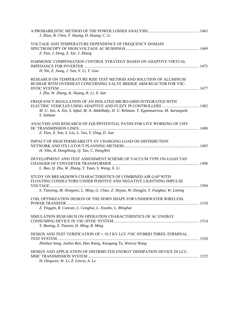| J. Zhuo, B. Chen, T. Huang, D. Huang, C. Li                                                                                                                                                                                 |  |
|-----------------------------------------------------------------------------------------------------------------------------------------------------------------------------------------------------------------------------|--|
| VOLTAGE AND TEMPERATURE DEPENDENCE OF FREQUENCY DOMAIN<br>Z. Pan, J. Deng, Z. Xie, J. Zhang                                                                                                                                 |  |
| HARMONIC COMPENSATION CONTROL STRATEGY BASED ON ADAPTIVE VIRTUAL<br>H. Shi, Z. Jiang, J. Yan, Y. Li, T. Gao                                                                                                                 |  |
| RESEARCH ON TEMPERATURE RISE TEST METHOD AND SOLUTION OF ALUMINUM<br>BUSBAR WITH OVERHEAT CONCERNING VALVE BRIDGE ARM REACTOR FOR VSC-                                                                                      |  |
| J. Zhu, W. Zhang, K. Huang, R. Li, X. Sun<br>FREQUENCY REGULATION OF AN ISOLATED MICRO-GRID INTEGRATED WITH<br>M. U. Jan, A. Xin, S. Iqbal, M. A. Abdelbaky, H. U. Rehman, T. Egamnazrova, M. Aurangzeb,<br>S. Salman       |  |
| ANALYSIS AND RESEARCH OF EQUIPOTENTIAL PATHS FOR LIVE WORKING OF UHV<br>Z. Tian, X. Yao, S. Liu, L. Tao, Y. Ding, D. Sun                                                                                                    |  |
| IMPACT OF HIGH PERMEABILITY EV CHARGING LOAD ON DISTRIBUTION<br>H. Yibo, R. DongHong, Q. Tao, C. HongWei                                                                                                                    |  |
| DEVELOPMENT AND TEST ASSESSMENT SCHEME OF VACUUM TYPE ON-LOAD TAP-<br>L. Bao, Q. Zhu, W. Zhang, Y. Yuan, S. Wang, X. Li                                                                                                     |  |
| STUDY ON BREAKDOWN CHARACTERISTICS OF COMBINED AIR GAP WITH<br>FLOATING CONDUCTORS UNDER POSITIVE AND NEGATIVE LIGHTNING IMPULSE<br>S. Tianying, M. Hongwei, L. Ming, G. Chao, Z. Shiyao, W. Dengjin, Y. Fanghui, W. Liming |  |
| COIL OPTIMIZATION DESIGN OF THE HORN SHAPE FOR UNDERWATER WIRELESS<br>Z. Yingqin, R. Cancan, L. Conghui, L. Xiaobo, L. Minghai                                                                                              |  |
| SIMULATION RESEARCH ON OPERATION CHARACTERISTICS OF AC ENERGY<br>Y. Boning, Z. Tianxin, D. Ming, R. Ming                                                                                                                    |  |
| DESIGN AND TEST VERIFICATION OF ± 10.5 KV LCC-VSC HYBRID THREE-TERMINAL<br>Zhishun Song, Junhui Ren, Hao Wang, Xiaogang Tu, Wencui Wang                                                                                     |  |
| DESIGN AND APPLICATION OF DISTRIBUTED ENERGY DISSIPATION DEVICE IN LCC-<br>H. Dingwen, W. Li, Z. Lincui, A. Le                                                                                                              |  |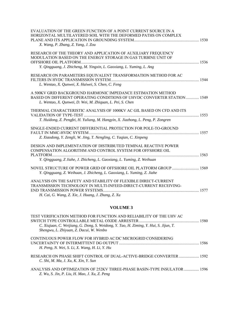| EVALUATION OF THE GREEN FUNCTION OF A POINT CURRENT SOURCE IN A<br>HORIZONTAL MULTILAYERED SOIL WITH THE DEFORMED PATHS ON COMPLEX<br>X. Wang, P. Zhang, Z. Yang, J. Zou                                |  |
|---------------------------------------------------------------------------------------------------------------------------------------------------------------------------------------------------------|--|
| RESEARCH OF THE THEORY AND APPLICATION OF AUXILIARY FREQUENCY<br>MODULATION BASED ON THE ENERGY STORAGE IN GAS TURBINE UNIT OF<br>Y. Qingguang, J. Zhicheng, M. Yingxin, L. Gaoxiang, L. Yuming, L. Ang |  |
| RESEARCH ON PARAMETERS EQUIVALENT TRANSFORMATION METHOD FOR AC<br>L. Wentao, X. Qunwei, X. Haiwei, S. Chen, C. Feng                                                                                     |  |
| A 500KV GRID BACKGROUND HARMONIC IMPEDANCE ESTIMATION METHOD<br>BASED ON DIFFERENT OPERATING CONDITIONS OF UHVDC CONVERTER STATION  1549<br>L. Wentao, X. Qunwei, D. Wei, M. Zhiquan, L. Pei, S. Chen   |  |
| THERMAL CHARACTERISTIC ANALYSIS OF 1000KV AC GIL BASED ON CFD AND ITS<br>T. Huidong, Z. Pengfei, H. Yuliang, M. Hangyin, X. Jiazhong, L. Peng, P. Zongren                                               |  |
| SINGLE-ENDED CURRENT DIFFERENTIAL PROTECTION FOR POLE-TO-GROUND<br>Z. Xiaodong, Y. Zengli, W. Jing, T. Nengling, C. Yaqian, C. Xinpeng                                                                  |  |
| DESIGN AND IMPLEMENTATION OF DISTRIBUTED TEMINAL REACTIVE POWER<br>COMPENSATION ALGORITHM AND CONTROL SYSTEM FOR OFFSHORE OIL<br>Y. Qingguang, Z Jiahe, J. Zhicheng, L. Gaoxiang, L. Yuming, Z. Weihuan |  |
| NOVEL STRUCTURE OF POWER GRID OF OFFSHORE OIL PLATFORM GROUP  1569<br>Y. Qingguang, Z. Weihuan, J. Zhicheng, L. Gaoxiang, L. Yuming, Z. Jiahe                                                           |  |
| ANALYSIS ON THE SAFETY AND STABILITY OF FLEXIBLE DIRECT-CURRENT<br>TRANSMISSION TECHNOLOGY IN MULTI-INFEED-DIRECT-CURRENT RECEIVING-                                                                    |  |

*H. Cai, G. Wang, Z. Xie, J. Huang, J. Zhang, Z. Xu* 

### **VOLUME 3**

| TEST VERIFICATION METHOD FOR FUNCTION AND RELIABILITY OF THE UHV AC                                                              |  |
|----------------------------------------------------------------------------------------------------------------------------------|--|
| C. Xiujuan, C. Weijiang, G. Dong, S. Weidong, Y. Tao, H. Ziming, Y. Hui, S. Jijun, T.<br>Shengwu, L. Zhiyuan, Z. Dacui, W. Wenbo |  |
| CONTINUOUS POWER FLOW FOR HYBRID AC/DC MICROGRID CONSIDERING                                                                     |  |
| H. Peng, N. Wei, S. Li, X. Wang, H. Li, Y. Hu                                                                                    |  |
| RESEARCH ON PHASE SHIFT CONTROL OF DUAL-ACTIVE-BRIDGE CONVERTER  1592<br>C. Shi, M. Ma, J. Xu, K. Xin, Y. Sun                    |  |
| ANALYSIS AND OPTIMIZATION OF 252KV THREE-PHASE BASIN-TYPE INSULATOR  1596<br>Z. Wu, S. Jin, P. Liu, H. Mao, J. Xu, Z. Peng       |  |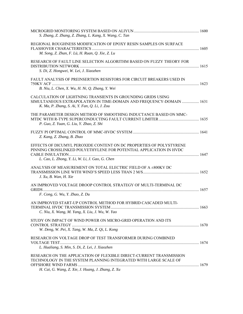| S. Zhang, Z. Zhang, Z. Zhang, L. Kang, X. Wang, C. Tan                                                                                                                                       |  |
|----------------------------------------------------------------------------------------------------------------------------------------------------------------------------------------------|--|
| REGIONAL ROUGHNESS MODIFICATION OF EPOXY RESIN SAMPLES ON SURFACE                                                                                                                            |  |
| M. Song, Z. Zhan, F. Lü, H. Ruan, Q. Xie, Z. Lu                                                                                                                                              |  |
| RESEARCH OF FAULT LINE SELECTION ALGORITHM BASED ON FUZZY THEORY FOR<br>S. Di, Z. Hongwei, W. Lei, J. Xiaozhen                                                                               |  |
| FAULT ANALYSIS OF PREINSERTION RESISTORS FOR CIRCUIT BREAKERS USED IN                                                                                                                        |  |
|                                                                                                                                                                                              |  |
| B. Niu, L. Chen, X. Wu, H. Ni, Q. Zhang, Y. Wei                                                                                                                                              |  |
| CALCULATION OF LIGHTNING TRANSIENTS IN GROUNDING GRIDS USING<br>SIMULTANEOUS EXTRAPOLATION IN TIME-DOMAIN AND FREQUENCY-DOMAIN  1631<br>K. Ma, P. Zhang, S. Ai, Y. Fan, Q. Li, J. Zou        |  |
| THE PARAMETER DESIGN METHOD OF SMOOTHING INDUCTANCE BASED ON MMC-<br>P. Guo, Z. Yuan, G. Liu, Y. Zhao, Z. Shi                                                                                |  |
| Z. Kang, Z. Zhang, B. Zhao                                                                                                                                                                   |  |
| EFFECTS OF DICUMYL PEROXIDE CONTENT ON DC PROPERTIES OF POLYSTYRENE<br>PINNING CROSSLINKED POLYETHYLENE FOR POTENTIAL APPLICATION IN HVDC<br>L. Cao, L. Zhong, Y. Li, W. Li, J. Gao, G. Chen |  |
| ANALYSIS OF MEASUREMENT ON TOTAL ELECTRIC FIELD OF A ±800KV DC<br>J. Xu, B. Wan, H. Xie                                                                                                      |  |
| AN IMPROVED VOLTAGE DROOP CONTROL STRATEGY OF MULTI-TERMINAL DC                                                                                                                              |  |
| F. Cong, G. Wu, Y. Zhao, Z. Du                                                                                                                                                               |  |
| AN IMPROVED START-UP CONTROL METHOD FOR HYBRID CASCADED MULTI-<br>C. Niu, X. Wang, M. Yang, X. Liu, J. Wu, W. Yao                                                                            |  |
| STUDY ON IMPACT OF WIND POWER ON MICRO-GRID OPERATION AND ITS<br>W. Deng, W. Pei, X. Tang, W. Ma, Z. Qi, L. Kong                                                                             |  |
| RESEARCH ON VOLTAGE DROP OF TEST TRANSFORMER DURING COMBINED                                                                                                                                 |  |
| L. Hualiang, S. Min, S. Di, Z. Lei, J. Xiaozhen                                                                                                                                              |  |
| RESEARCH ON THE APPLICATION OF FLEXIBLE DIRECT-CURRENT TRANSMISSION<br>TECHNOLOGY IN THE SYSTEM PLANNING INTEGRATED WITH LARGE SCALE OF                                                      |  |
| H. Cai, G. Wang, Z. Xie, J. Huang, J. Zhang, Z. Xu                                                                                                                                           |  |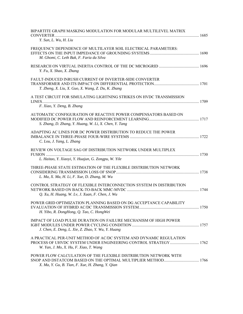| BIPARTITE GRAPH MASKING MODULATION FOR MODULAR MULTILEVEL MATRIX<br>Y. Sun, L. Wu, H. Liu                                |  |
|--------------------------------------------------------------------------------------------------------------------------|--|
| FREQUENCY DEPENDENCE OF MULTILAYER SOIL ELECTRICAL PARAMETERS:<br>M. Ghomi, C. Leth Bak, F. Faria da Silva               |  |
| Y. Fu, X. Shao, X. Zhang                                                                                                 |  |
| <b>FAULT-INDUCED INRUSH CURRENT OF INVERTER-SIDE CONVERTER</b><br>T. Zheng, X. Liu, X. Guo, X. Wang, Z. Du, K. Zhang     |  |
| A TEST CIRCUIT FOR SIMULATING LIGHTNING STRIKES ON HVDC TRANSMISSION<br>LINES<br>F. Xiao, Y. Deng, B. Zhang              |  |
| AUTOMATIC CONFIGURATION OF REACTIVE POWER COMPENSATORS BASED ON<br>S. Zhang, D. Zhang, Y. Huang, W. Li, X. Chen, Y. Tang |  |
| ADAPTING AC LINES FOR DC POWER DISTRIBUTION TO REDUCE THE POWER<br>C. Lou, J. Yang, L. Zhang                             |  |
| REVIEW ON VOLTAGE SAG OF DISTRIBUTION NETWORK UNDER MULTIPLEX<br>L. Haitao, Y. Xiaoyi, Y. Huajun, G. Zongpu, W. Yile     |  |
| THREE-PHASE STATE ESTIMATION OF THE FLEXIBLE DISTRIBUTION NETWORK<br>L. Ma, X. Ma, H. Li, F. Xue, D. Zhang, M. Wu        |  |
| CONTROL STRATEGY OF FLEXIBLE INTERCONNECTION SYSTEM IN DISTRIBUTION<br>Q. Xu, H. Huang, W. Lv, J. Xuan, F. Chen, J. Wu   |  |
| POWER GRID OPTIMIZATION PLANNING BASED ON DG ACCEPTANCE CAPABILITY<br>H. Yibo, R. DongHong, Q. Tao, C. HongWei           |  |
| IMPACT OF LOAD PULSE DURATION ON FAILURE MECHANISM OF HIGH POWER<br>J. Chen, E. Deng, L. Xie, Z. Zhao, Y. Wu, Y. Huang   |  |
| A PRACTICAL PER-UNIT METHOD OF AC/DC SYSTEM AND DYNAMIC REGULATION<br>W. Yan, J. Mo, X. Hu, F. Xiao, T. Wang             |  |
| POWER FLOW CALCULATION OF THE FLEXIBLE DISTRIBUTION NETWORK WITH<br>X. Ma, Y. Gu, B. Tian, F. Xue, H. Zhang, Y. Qian     |  |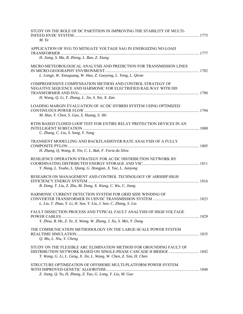| STUDY ON THE ROLE OF DC PARTITION IN IMPROVING THE STABILITY OF MULTI-<br>$M.$ Ye                                                                                               |  |
|---------------------------------------------------------------------------------------------------------------------------------------------------------------------------------|--|
| APPLICATION OF SVG TO MITIGATE VOLTAGE SAG IN ENERGIZING NO-LOAD<br>H. Jiang, S. Ma, B. Zheng, L. Ban, Z. Xiang                                                                 |  |
| MICRO-METEOROLOGICAL ANALYSIS AND PREDICTION FOR TRANSMISSION LINES<br>L. Longji, W. Xiaoguang, W. Hao, Z. Guoyong, L. Yong, L. Qiran                                           |  |
| COMPREHENSIVE COMPENSATION METHOD AND CONTROL STRATEGY OF<br>NEGATIVE SEQUENCE AND HARMONIC FOR ELECTRIFIED RAILWAY WITH DD<br>H. Wang, Q. Li, Y. Zhang, L. Jin, S. Xie, X. Zan |  |
| LOADING MARGIN EVALUATION OF AC/DC HYBRID SYSTEM USING OPTIMIZED<br>M. Han, Y. Chen, S. Gao, S. Huang, S. Shi                                                                   |  |
| RTDS BASED CLOSED LOOP TEST FOR ENTIRE RELAY PROTECTION DEVICES IN AN<br>C. Zhang, C. Liu, S. Song, Y. Yang                                                                     |  |
| TRANSIENT MODELLING AND BACKFLASHOVER RATE ANALYSIS OF A FULLY<br>H. Zhang, Q. Wang, K. Yin, C. L. Bak, F. Faria da Silva                                                       |  |
| RESILIENCE OPERATION STRATEGY FOR AC/DC DISTRIBUTION NETWORK BY<br>Y. Hang, L. Youbo, L. Qiang, G. Hongjun, X. Yue, L. Junyong                                                  |  |
| RESEARCH ON MANAGEMENT AND CONTROL TECHNOLOGY OF AIRSHIP HIGH<br>B. Dong, T. Liu, Z. Zhu, M. Dong, X. Wang, C. Wu, C. Jiang                                                     |  |
| HARMONIC CURRENT DETECTION SYSTEM FOR GRID SIDE WINDING OF<br>L. Liu, T. Zhao, Y. Li, H. Sun, Y. Liu, J. Sun, C. Zhang, S. Liu                                                  |  |
| FAULT DISSECTION PROCESS AND TYPICAL FAULT ANALYSIS OF HIGH VOLTAGE<br>Y. Zhou, B. He, Z. Ye, X. Wang, W. Zhang, J. Xu, S. Mei, Y. Dong                                         |  |
| THE COMMUNICATION METHODOLOGY ON THE LARGE-SCALE POWER SYSTEM<br>Q. Mu, L. Niu, Y. Cheng                                                                                        |  |
| STUDY ON THE FLEXIBLE ARC ELIMINATION METHOD FOR GROUNDING FAULT OF<br>T. Wang, G. Li, L. Geng, X. Jin, L. Wang, W. Chen, Z. Yan, H. Chen                                       |  |
| STRUCTURE OPTIMIZATION OF OFFSHORE MULTI-PLATFORM POWER SYSTEM<br>Z. Jiang, Q. Yu, H. Zhang, Z. Tao, G. Long, Y. Liu, M. Guo                                                    |  |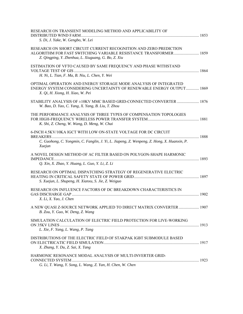| RESEARCH ON TRANSIENT MODELING METHOD AND APPLICABILITY OF                                                                                                                                    |  |
|-----------------------------------------------------------------------------------------------------------------------------------------------------------------------------------------------|--|
| S. Di, J. Yake, W. Gengbo, W. Lei                                                                                                                                                             |  |
| RESEARCH ON SHORT CIRCUIT CURRENT RECOGNITION AND ZERO PREDICTION<br>ALGORITHM FOR FAST SWITCHING VARIABLE RESISTANCE TRANSFORMER 1859<br>Z. Qingping, Y. Zhenhua, L. Xiuguang, G. Bo, Z. Xiu |  |
| ESTIMATION OF VFTO CAUSED BY SAME FREQUENCY AND PHASE WITHSTAND<br>H. Ni, L. Tian, F. Ma, B. Niu, L. Chen, Y. Wei                                                                             |  |
| OPTIMAL OPERATION AND ENERGY STORAGE MODE ANALYSIS OF INTEGRATED<br>ENERGY SYSTEM CONSIDERING UNCERTAINTY OF RENEWABLE ENERGY OUTPUT 1869<br>X. Qi, H. Xiong, H. Xiao, W. Pei                 |  |
| STABILITY ANALYSIS OF ±10KV MMC BASED GRID-CONNECTED CONVERTER  1876<br>W. Bao, D. Yao, C. Yang, X. Yang, B. Liu, T. Zhou                                                                     |  |
| THE PERFORMANCE ANALYSIS OF THREE TYPES OF COMPENSATION TOPOLOGIES<br>K. Shi, Z. Cheng, W. Wang, D. Meng, W. Chai                                                                             |  |
| 6-INCH 4.5KV/10KA IGCT WITH LOW ON-STATE VOLTAGE FOR DC CIRCUIT                                                                                                                               |  |
| C. Guohong, C. Yongmin, C. Fanglin, J. Yi, L. Jiapeng, Z. Wenpeng, Z. Hong, X. Huanxin, P.<br>Xuejun                                                                                          |  |
| A NOVEL DESIGN METHOD OF AC FILTER BASED ON POLYGON-SHAPE HARMONIC<br>Q. Xin, X. Zhao, Y. Huang, L. Guo, Y. Li, Z. Li                                                                         |  |
| RESEARCH ON OPTIMAL DISPATCHING STRATEGY OF REGENERATIVE ELECTRIC<br>S. Xuejun, L. Shupeng, H. Xianxu, S. Jie, Z. Weiguo                                                                      |  |
| RESEARCH ON INFLUENCE FACTORS OF DC BREAKDOWN CHARACTERISTICS IN<br>X. Li, X. Yao, J. Chen                                                                                                    |  |
| A NEW QUASI Z-SOURCE NETWORK APPLIED TO DIRECT MATRIX CONVERTER  1907<br>B. Zou, Y. Guo, W. Deng, Z. Wang                                                                                     |  |
| SIMULATION CALCULATION OF ELECTRIC FIELD PROTECTION FOR LIVE-WORKING                                                                                                                          |  |
| L. Xie, F. Yang, L. Wang, P. Tang                                                                                                                                                             |  |
| DISTRIBUTIONS OF THE ELECTRIC FIELD OF STAKPAK IGBT SUBMODULE BASED<br>X. Zhang, Y. Du, Z. Sai, X. Tang                                                                                       |  |
| HARMONIC RESONANCE MODAL ANALYSIS OF MULTI-INVERTER GRID-                                                                                                                                     |  |
| G. Li, T. Wang, Y. Song, L. Wang, Z. Yan, H. Chen, W. Chen                                                                                                                                    |  |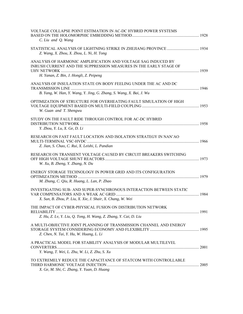| VOLTAGE COLLAPSE POINT ESTIMATION IN AC-DC HYBRID POWER SYSTEMS<br>C. Liu and Q. Wang                                              |      |
|------------------------------------------------------------------------------------------------------------------------------------|------|
| Z. Wang, X. Zhou, X. Zhou, L. Ni, H. Tong                                                                                          |      |
| ANALYSIS OF HARMONIC AMPLIFICATION AND VOLTAGE SAG INDUCED BY<br>INRUSH CURRENT AND THE SUPPRESSION MEASURES IN THE EARLY STAGE OF |      |
| H. Yanan, Z. Bin, J. Hongli, Z. Peipeng<br>ANALYSIS OF INSULATION STATE ON BODY FEELING UNDER THE AC AND DC                        |      |
| B. Yang, W. Han, Y. Wang, Y. Jing, G. Zhang, S. Wang, X. Bai, J. Wu                                                                |      |
| OPTIMIZATION OF STRUCTURE FOR OVERHEATING FAULT SIMULATION OF HIGH<br>W. Guan and T. Shengwu                                       |      |
| STUDY ON THE FAULT RIDE THROUGH CONTROL FOR AC-DC HYBRID                                                                           |      |
| Y. Zhou, Y. Lu, X. Ge, D. Li                                                                                                       |      |
| RESEARCH ON FAST FAULT LOCATION AND ISOLATION STRATEGY IN NAN'AO<br>Z. Jian, S. Chao, C. Rui, X. Leishi, L. Pandian                |      |
| RESEARCH ON TRANSIENT VOLTAGE CAUSED BY CIRCUIT BREAKERS SWITCHING<br>W. Xu, B. Zheng, Y. Zhang, N. Du                             |      |
| ENERGY STORAGE TECHNOLOGY IN POWER GRID AND ITS CONFIGURATION<br>M. Zhang, C. Qiu, R. Huang, L. Lan, P. Zhao                       |      |
| INVESTIGATING SUB- AND SUPER-SYNCHRONOUS INTERACTION BETWEEN STATIC<br>X. Sun, B. Zhou, P. Liu, X. Xie, J. Shair, X. Chang, W. Wei |      |
| THE IMPACT OF CYBER-PHYSICAL FUSION ON DISTRIBUTION NETWORK                                                                        |      |
| Z. Hu, Z. Lv, Y. Liu, Q. Tong, H. Wang, Z. Zhang, Y. Cai, D. Liu                                                                   |      |
| A MULTI-OBJECTIVE JOINT PLANNING OF TRANSMISSION CHANNEL AND ENERGY<br>Z. Chen, N. Tai, Y. Hu, W. Huang, L. Li                     |      |
| A PRACTICAL MODEL FOR STABILITY ANALYSIS OF MODULAR MULTILEVEL<br>Y. Wang, T. Wei, L. Zhu, W. Li, Z. Zhu, S. Xu                    | 2001 |
|                                                                                                                                    |      |
| TO EXTREMELY REDUCE THE CAPACITANCE OF STATCOM WITH CONTROLLABLE<br>X. Ge, M. Shi, C. Zhang, Y. Yuan, D. Huang                     |      |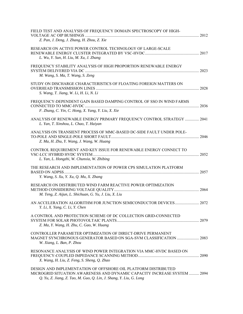| FIELD TEST AND ANALYSIS OF FREQUENCY DOMAIN SPECTROSCOPY OF HIGH-<br>Z. Pan, J. Deng, J. Zhang, H. Zhou, Z. Xie                                                                                                  |  |
|------------------------------------------------------------------------------------------------------------------------------------------------------------------------------------------------------------------|--|
| RESEARCH ON ACTIVE POWER CONTROL TECHNOLOGY OF LARGE-SCALE<br>L. Wu, Y. Sun, H. Liu, M. Xu, J. Zhang                                                                                                             |  |
| FREQUENCY STABILITY ANALYSIS OF HIGH PROPORTION RENEWABLE ENERGY<br>M. Wang, S. Ma, T. Wang, S. Zeng                                                                                                             |  |
| STUDY ON DISCHARGE CHARACTERISTICS OF FLOATING FOREIGN MATTERS ON<br>S. Wang, T. Jiang, W. Li, H. Li, N. Li                                                                                                      |  |
| FREQUENCY-DEPENDENT GAIN BASED DAMPING CONTROL OF SSO IN WIND FARMS<br>F. Zhang, C. Yin, C. Hong, X. Yang, Y. Liu, X. Xie                                                                                        |  |
| ANALYSIS OF RENEWABLE ENERGY PRIMARY FREQUENCY CONTROL STRATEGY  2041<br>L. Yan, T. Xinshou, L. Chao, T. Haiyan                                                                                                  |  |
| ANALYSIS ON TRANSIENT PROCESS OF MMC-BASED DC-SIDE FAULT UNDER POLE-<br>Z. Ma, H. Zhu, Y. Wang, J. Wang, W. Huang                                                                                                |  |
| CONTROL REQUIREMENT AND KEY ISSUE FOR RENEWABLE ENERGY CONNECT TO<br>L. Yan, L. Hongzhi, W. Chunxia, W. Zhibing                                                                                                  |  |
| THE RESEARCH AND IMPLEMENTATION OF POWER CPS SIMULATION PLATFORM<br>Y. Wang, S. Xu, Y. Xu, Q. Mu, X. Zhang                                                                                                       |  |
| RESEARCH ON DISTRIBUTED WIND FARM REACTIVE POWER OPTIMIZATION<br>M. Teng, Z. Aijun, L. Shichuan, G. Yu, J. Liu, X. Liu                                                                                           |  |
| AN ACCELERATION ALGORITHM FOR JUNCTION SEMICONDUCTOR DEVICES 2072<br>Y. Li, X. Yang, C. Li, Y. Chen                                                                                                              |  |
| A CONTROL AND PROTECTION SCHEME OF DC COLLECTION GRID-CONNECTED<br>Z. Ma, Y. Wang, H. Zhu, C. Gao, W. Huang                                                                                                      |  |
| CONTROLLER PARAMETER OPTIMIZATION OF DIRECT-DRIVE PERMANENT<br>MAGNET SYNCHRONOUS GENERATOR BASED ON SGA-SVM CLASSIFICATION  2083<br>W. Xiang, L. Ban, P. Zhou                                                   |  |
| RESONANCE ANALYSIS OF WIND POWER INTEGRATION VIA MMC-HVDC BASED ON<br>X. Wang, H. Liu, Z. Feng, S. Sheng, Q. Zhao                                                                                                |  |
| DESIGN AND IMPLEMENTATION OF OFFSHORE OIL PLATFORM DISTRIBUTED<br>MICROGRID SITUATION AWARENESS AND DYNAMIC CAPACITY INCREASE SYSTEM  2094<br>Q. Yu, Z. Jiang, Z. Tao, M. Guo, Q. Lin, J. Shang, Y. Liu, G. Long |  |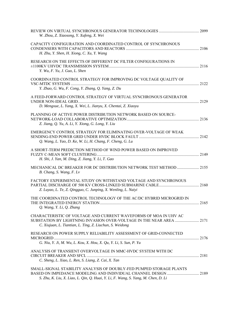| W. Zhou, Z. Xiaosong, Y. Xufeng, X. Wei                                                                                                                                                              |  |
|------------------------------------------------------------------------------------------------------------------------------------------------------------------------------------------------------|--|
| CAPACITY CONFIGURATION AND COORDINATED CONTROL OF SYNCHRONOUS<br>H. Zhu, Y. Shen, H. Xiong, C. Xu, Y. Wang                                                                                           |  |
| RESEARCH ON THE EFFECTS OF DIFFERENT DC FILTER CONFIGURATIONS IN<br>Y. Wu, F. Yu, J. Guo, L. Shen                                                                                                    |  |
| COORDINATED CONTROL STRATEGY FOR IMPROVING DC VOLTAGE QUALITY OF<br>Y. Zhao, G. Wu, F. Cong, Y. Zhang, Q. Yang, Z. Du                                                                                |  |
| A FEED-FORWARD CONTROL STRATEGY OF VIRTUAL SYNCHRONOUS GENERATOR<br>D. Mengxue, L. Yang, X. Wei, L. Jianyu, X. Chentai, Z. Xiaoyu                                                                    |  |
| PLANNING OF ACTIVE POWER DISTRIBUTION NETWORK BASED ON SOURCE-<br>Z. Jiang, Q. Yu, A. Li, Y. Xiong, G. Long, Y. Liu                                                                                  |  |
| EMERGENCY CONTROL STRATEGY FOR ELIMINATING OVER-VOLTAGE OF WEAK<br>Q. Wang, L. Yao, D. Ke, W. Li, H. Chang, F. Cheng, G. Lu                                                                          |  |
| A SHORT-TERM PREDICTION METHOD OF WIND POWER BASED ON IMPROVED<br>H. Shi, J. Yan, M. Ding, Z. Jiang, Y. Li, T. Gao                                                                                   |  |
| MECHANICAL DC BREAKER FOR DC DISTRIBUTION NETWORK TEST METHOD  2155<br>B. Chang, S. Wang, F. Lv                                                                                                      |  |
| FACTORY EXPERIMENTAL STUDY ON WITHSTAND VOLTAGE AND SYNCHRONOUS<br>Z. Luyao, L. Te, Z. Qingguo, C. Junping, X. Wenling, L. Naiyi                                                                     |  |
| THE COORDINATED CONTROL TECHNOLOGY OF THE AC/DC HYBRID MICROGRID IN<br>Q. Wang, Y. Li, Q. Zhang                                                                                                      |  |
| CHARACTERISTIC OF VOLTAGE AND CURRENT WAVEFORMS OF MOA IN UHV AC<br>SUBSTATION BY LIGHTNING INVASION OVER-VOLTAGE IN THE NEAR AREA  2171<br>C. Xiujuan, L. Tiantian, L. Ting, Z. Liuchun, S. Weidong |  |
| RESEARCH ON POWER SUPPLY RELIABILITY ASSESSMENT OF GRID-CONNECTED<br>G. Niu, Y. Ji, M. Wu, L. Kou, X. Hou, X. Qu, Y. Li, S. Sun, P. Yu                                                               |  |
| ANALYSIS OF TRANSIENT OVERVOLTAGE IN MMC-HVDC SYSTEM WITH DC<br>C. Sheng, L. Xiao, L. Ren, S. Liang, Z. Cai, X. Tan                                                                                  |  |
| SMALL-SIGNAL STABILITY ANALYSIS OF DOUBLY-FED PUMPED STORAGE PLANTS<br>S. Zhu, K. Liu, X. Liao, L. Qin, Q. Huai, Y. Li, F. Wang, S. Yang, M. Chen, D. Li                                             |  |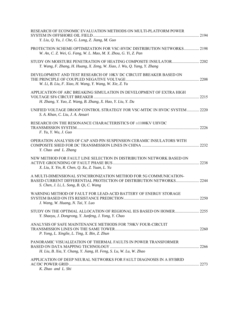| RESEARCH OF ECONOMIC EVALUATION METHODS ON MULTI-PLATFORM POWER<br>Y. Liu, Q. Yu, J. Che, G. Long, Z. Jiang, M. Guo                                                                |  |
|------------------------------------------------------------------------------------------------------------------------------------------------------------------------------------|--|
| PROTECTION SCHEME OPTIMIZATION FOR VSC-HVDC DISTRIBUTION NETWORKS 2198<br>W. An, C. Z. Wei, G. Fang, W. L. Mao, M. X. Zhou, G. Yi, Z. Pan                                          |  |
| T. Wang, F. Zhang, H. Huang, X. Zeng, W. Xiao, J. Wu, Q. Yang, Y. Zhang                                                                                                            |  |
| DEVELOPMENT AND TEST RESEARCH OF 10KV DC CIRCUIT BREAKER BASED ON<br>W. Li, B. Liu, F. Xiao, H. Wang, Y. Wang, W. Xie, Z. Yu                                                       |  |
| APPLICATION OF ARC BREAKING SIMULATION IN DEVELOPMENT OF EXTRA HIGH<br>H. Zhang, Y. Yao, Z. Wang, B. Zhang, X. Hao, Y. Liu, Y. Du                                                  |  |
| UNIFIED VOLTAGE DROOP CONTROL STRATEGY FOR VSC-MTDC IN HVDC SYSTEM 2220<br>S. A. Khan, C. Liu, J. A. Ansari                                                                        |  |
| RESEARCH ON THE RESONANCE CHARACTERISTICS OF ±1100KV UHVDC<br>F. Yu, Y. Wu, J. Guo                                                                                                 |  |
| OPERATION ANALYSIS OF CAP AND PIN SUSPENSION CERAMIC INSULATORS WITH<br>Y. Chao and L. Zhang                                                                                       |  |
| NEW METHOD FOR FAULT LINE SELECTION IN DISTRIBUTION NETWORK BASED ON<br>X. Liu, X. Yin, R. Chen, Q. Xu, Z. Yuan, L. Yu                                                             |  |
| A MULTI-DIMENSIONAL SYNCHRONIZATION METHOD FOR 5G COMMUNICATION-<br>BASED CURRENT DIFFERENTIAL PROTECTION OF DISTRIBUTION NETWORKS 2244<br>S. Chen, J. Li, L. Song, B. Qi, C. Wang |  |
| WARNING METHOD OF FAULT FOR LEAD-ACID BATTERY OF ENERGY STORAGE<br>J. Wang, W. Huang, N. Tai, Y. Luo                                                                               |  |
| Y. Shaoyu, J. Dongrong, Y. Junfeng, J. Yong, Y. Chao                                                                                                                               |  |
| ANALYSIS OF SAFE MAINTENANCE METHODS FOR 750KV FOUR-CIRCUIT<br>P. Yong, L. Xinglie, L. Ting, X. Bin, Z. Zhun                                                                       |  |
| PANORAMIC VISUALIZATION OF THERMAL FAULTS IN POWER TRANSFORMER<br>H. Liu, B. Xia, Y. Chang, Y. Jiang, H. Feng, S. Lu, W. Lu, W. Zhao                                               |  |
| APPLICATION OF DEEP NEURAL NETWORKS FOR FAULT DIAGNOSIS IN A HYBRID<br>K. Zhao and L. Shi                                                                                          |  |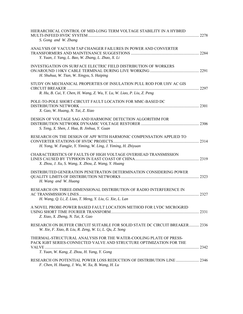| HIERARCHICAL CONTROL OF MID-LONG TERM VOLTAGE STABILITY IN A HYBRID                                                                      |      |
|------------------------------------------------------------------------------------------------------------------------------------------|------|
| S. Gong and W. Zhang                                                                                                                     |      |
| ANALYSIS OF VACUUM TAP CHANGER FAILURES IN POWER AND CONVERTER<br>Y. Yuan, J. Yang, L. Bao, W. Zhang, L. Zhao, X. Li                     |      |
| <b>INVESTIGATION ON SURFACE ELECTRIC FIELD DISTRIBUTION OF WORKERS</b><br>H. Shuhua, W. Tian, W. Xingyu, S. Haiping                      |      |
| STUDY ON MECHANICAL PROPERTIES OF INSULATION PULL ROD FOR UHV AC GIS                                                                     | 2297 |
| R. Hu, B. Cui, Y. Chen, H. Wang, Z. Wu, Y. Lu, W. Liao, P. Liu, Z. Peng                                                                  |      |
| POLE-TO-POLE SHORT-CIRCUIT FAULT LOCATION FOR MMC-BASED DC<br>X. Gao, W. Huang, N. Tai, Z. Xiao                                          |      |
| DESIGN OF VOLTAGE SAG AND HARMONIC DETECTION ALGORITHM FOR<br>S. Teng, X. Shen, J. Hua, B. Jinhua, Y. Guan                               | 2306 |
| RESEARCH ON THE DESIGN OF APF WITH HARMONIC COMPENSATION APPLIED TO<br>H. Yong, W. Fangjie, Y. Yiming, W. Ling, J. Yiming, H. Zhiyuan    |      |
| CHARACTERISTICS OF FAULTS OF HIGH VOLTAGE OVERHEAD TRANSMISSION<br>X. Zhou, J. Xu, S. Wang, X. Zhou, Z. Wang, Y. Huang                   |      |
| DISTRIBUTED GENERATION PENETRATION DETERMINATION CONSIDERING POWER<br>H. Wang and W. Huang                                               |      |
| RESEARCH ON THREE-DIMENSIONAL DISTRIBUTION OF RADIO INTERFERENCE IN<br>H. Wang, Q. Li, Z. Liao, T. Meng, Y. Liu, G. Xie, L. Lan          | 2327 |
| A NOVEL PROBE-POWER BASED FAULT LOCATION METHOD FOR LVDC MICROGRID<br>Z. Xiao, X. Zheng, N. Tai, X. Gao                                  | 2331 |
| RESEARCH ON BUFFER CIRCUIT SUITABLE FOR SOLID STATE DC CIRCUIT BREAKER 2336<br>W. Xie, F. Xiao, B. Liu, R. Zeng, W. Li, L. Qu, Z. Song   |      |
| THERMAL-STRUCTURAL ANALYSIS FOR THE WATER-COOLING PLATE OF PRESS-<br>PACK IGBT SERIES-CONNECTED VALVE AND STRUCTURE OPTIMIZATION FOR THE |      |
| T. Yuan, W. Kang, Z. Zhou, H. Yang, Y. Gong                                                                                              |      |
| F. Chen, H. Huang, J. Wu, W. Xu, B. Wang, H. Lu                                                                                          |      |